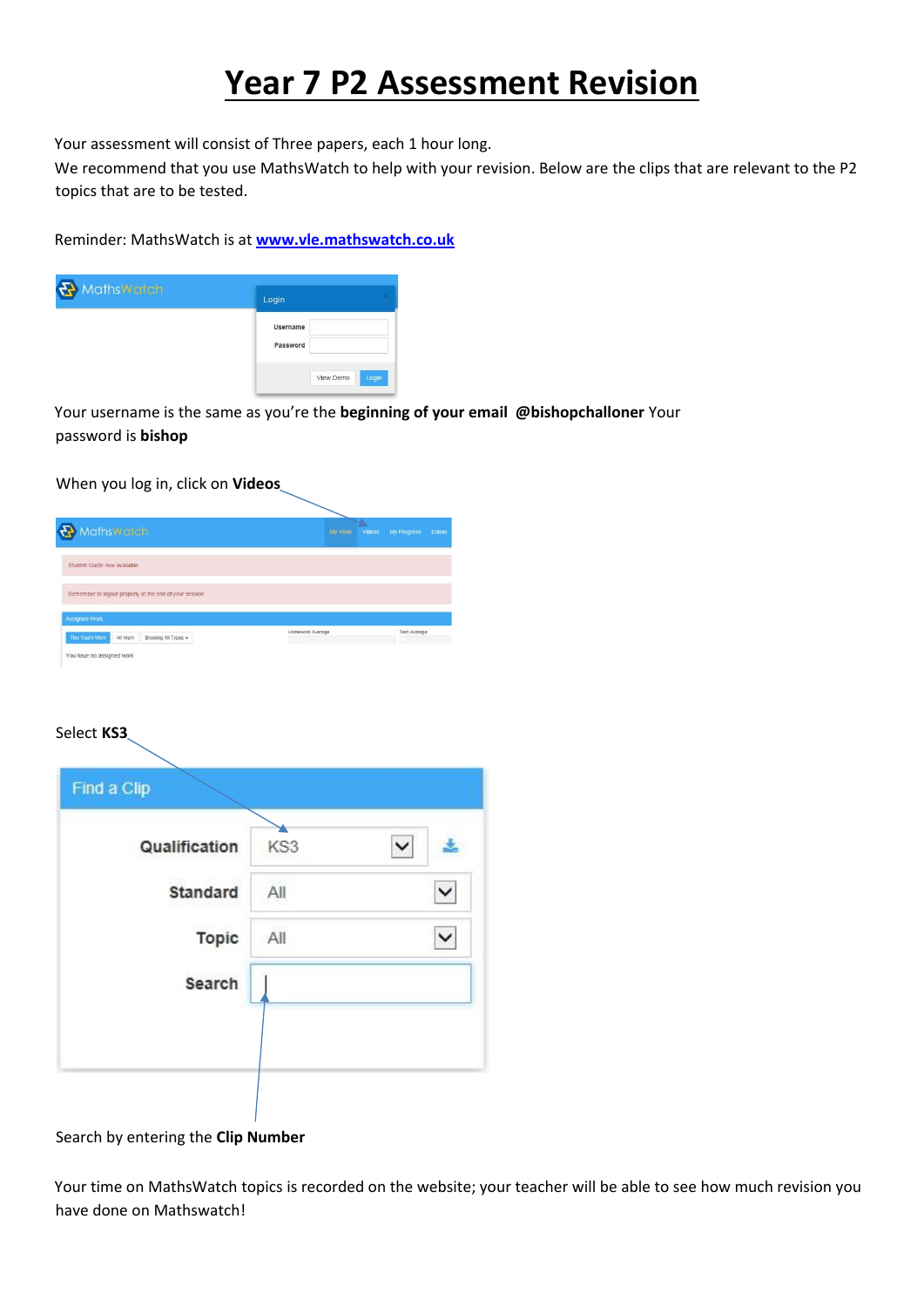## **Year 7 P2 Assessment Revision**

Your assessment will consist of Three papers, each 1 hour long.

We recommend that you use MathsWatch to help with your revision. Below are the clips that are relevant to the P2 topics that are to be tested.

Reminder: MathsWatch is at **[www.vle.mathswatch.co.uk](http://www.vle.mathswatch.co.uk/)**



Your username is the same as you're the **beginning of your email @bishopchalloner** Your password is **bishop**

When you log in, click on **Videos**

| MathsWatch                                                                  |                  | My Work | Videos | My Progress  | Extras |
|-----------------------------------------------------------------------------|------------------|---------|--------|--------------|--------|
| Student Guide now available                                                 |                  |         |        |              |        |
| Remember to logout properly at the end of your session                      |                  |         |        |              |        |
|                                                                             |                  |         |        |              |        |
|                                                                             |                  |         |        |              |        |
| <b>Assigned Work</b><br>This Year's Work<br>Showing All Types +<br>All Work | Homework Average |         |        | Test Average |        |

## Select **KS3**

| <b>Standard</b><br>All | Qualification | KS3 | $\check{ }$ |
|------------------------|---------------|-----|-------------|
|                        |               |     |             |
| <b>Topic</b><br>All    |               |     |             |
| Search                 |               |     |             |

Search by entering the **Clip Number**

Your time on MathsWatch topics is recorded on the website; your teacher will be able to see how much revision you have done on Mathswatch!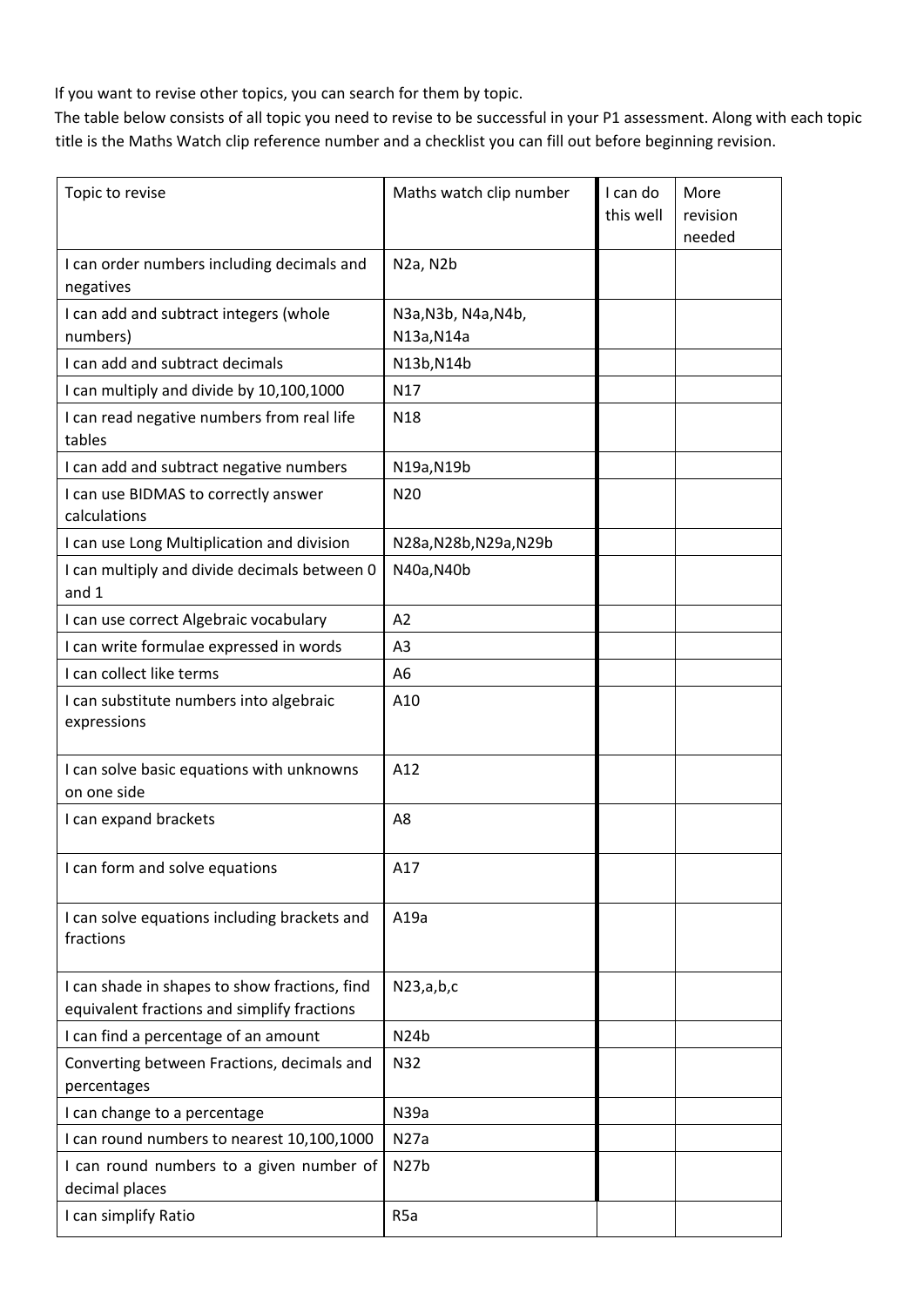If you want to revise other topics, you can search for them by topic.

The table below consists of all topic you need to revise to be successful in your P1 assessment. Along with each topic title is the Maths Watch clip reference number and a checklist you can fill out before beginning revision.

| Topic to revise                                                                              | Maths watch clip number            | I can do<br>this well | More<br>revision<br>needed |
|----------------------------------------------------------------------------------------------|------------------------------------|-----------------------|----------------------------|
| I can order numbers including decimals and<br>negatives                                      | N <sub>2</sub> a, N <sub>2</sub> b |                       |                            |
| I can add and subtract integers (whole<br>numbers)                                           | N3a, N3b, N4a, N4b,<br>N13a, N14a  |                       |                            |
| I can add and subtract decimals                                                              | N13b, N14b                         |                       |                            |
| I can multiply and divide by 10,100,1000                                                     | N17                                |                       |                            |
| I can read negative numbers from real life<br>tables                                         | N18                                |                       |                            |
| I can add and subtract negative numbers                                                      | N19a, N19b                         |                       |                            |
| I can use BIDMAS to correctly answer<br>calculations                                         | N20                                |                       |                            |
| I can use Long Multiplication and division                                                   | N28a, N28b, N29a, N29b             |                       |                            |
| I can multiply and divide decimals between 0<br>and 1                                        | N40a, N40b                         |                       |                            |
| I can use correct Algebraic vocabulary                                                       | A2                                 |                       |                            |
| I can write formulae expressed in words                                                      | A <sub>3</sub>                     |                       |                            |
| I can collect like terms                                                                     | A6                                 |                       |                            |
| I can substitute numbers into algebraic<br>expressions                                       | A10                                |                       |                            |
| I can solve basic equations with unknowns<br>on one side                                     | A12                                |                       |                            |
| I can expand brackets                                                                        | A8                                 |                       |                            |
| I can form and solve equations                                                               | A17                                |                       |                            |
| I can solve equations including brackets and<br>fractions                                    | A19a                               |                       |                            |
| I can shade in shapes to show fractions, find<br>equivalent fractions and simplify fractions | N23,a,b,c                          |                       |                            |
| I can find a percentage of an amount                                                         | N <sub>24</sub> b                  |                       |                            |
| Converting between Fractions, decimals and<br>percentages                                    | <b>N32</b>                         |                       |                            |
| I can change to a percentage                                                                 | N39a                               |                       |                            |
| I can round numbers to nearest 10,100,1000                                                   | N27a                               |                       |                            |
| I can round numbers to a given number of<br>decimal places                                   | N27b                               |                       |                            |
| I can simplify Ratio                                                                         | R <sub>5</sub> a                   |                       |                            |